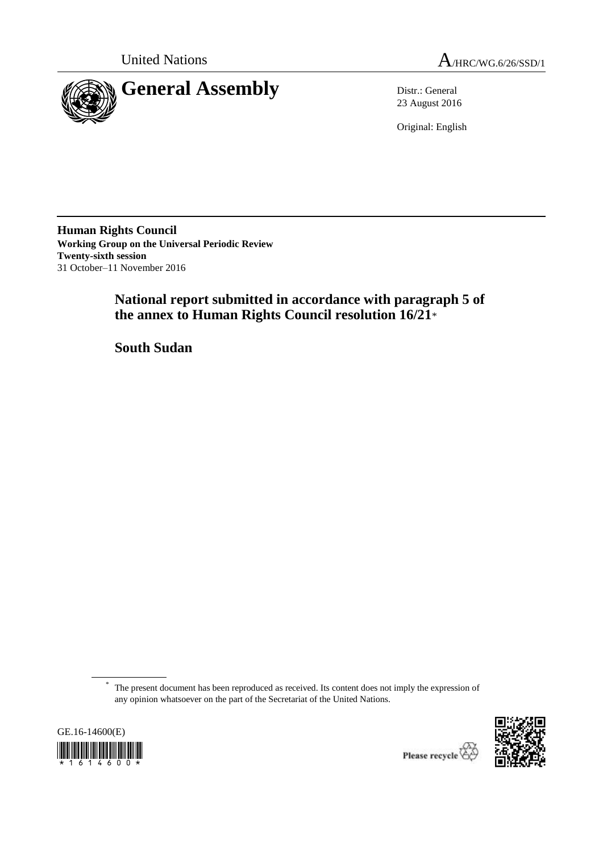



23 August 2016

Original: English

**Human Rights Council Working Group on the Universal Periodic Review Twenty-sixth session** 31 October–11 November 2016

# **National report submitted in accordance with paragraph 5 of the annex to Human Rights Council resolution 16/21**\*

**South Sudan**

<sup>\*</sup> The present document has been reproduced as received. Its content does not imply the expression of any opinion whatsoever on the part of the Secretariat of the United Nations.



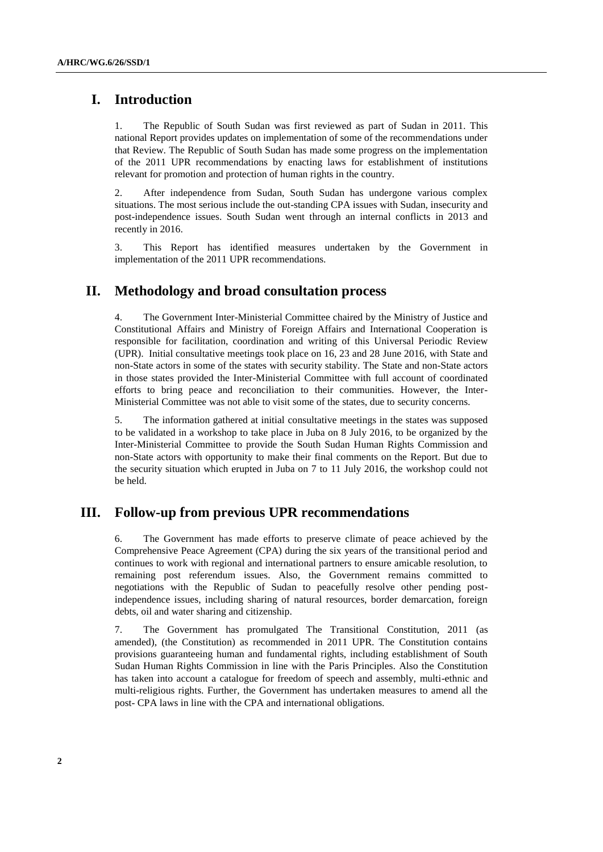# **I. Introduction**

1. The Republic of South Sudan was first reviewed as part of Sudan in 2011. This national Report provides updates on implementation of some of the recommendations under that Review. The Republic of South Sudan has made some progress on the implementation of the 2011 UPR recommendations by enacting laws for establishment of institutions relevant for promotion and protection of human rights in the country.

2. After independence from Sudan, South Sudan has undergone various complex situations. The most serious include the out-standing CPA issues with Sudan, insecurity and post-independence issues. South Sudan went through an internal conflicts in 2013 and recently in 2016.

3. This Report has identified measures undertaken by the Government in implementation of the 2011 UPR recommendations.

# **II. Methodology and broad consultation process**

4. The Government Inter-Ministerial Committee chaired by the Ministry of Justice and Constitutional Affairs and Ministry of Foreign Affairs and International Cooperation is responsible for facilitation, coordination and writing of this Universal Periodic Review (UPR). Initial consultative meetings took place on 16, 23 and 28 June 2016, with State and non-State actors in some of the states with security stability. The State and non-State actors in those states provided the Inter-Ministerial Committee with full account of coordinated efforts to bring peace and reconciliation to their communities. However, the Inter-Ministerial Committee was not able to visit some of the states, due to security concerns.

5. The information gathered at initial consultative meetings in the states was supposed to be validated in a workshop to take place in Juba on 8 July 2016, to be organized by the Inter-Ministerial Committee to provide the South Sudan Human Rights Commission and non-State actors with opportunity to make their final comments on the Report. But due to the security situation which erupted in Juba on 7 to 11 July 2016, the workshop could not be held.

## **III. Follow-up from previous UPR recommendations**

6. The Government has made efforts to preserve climate of peace achieved by the Comprehensive Peace Agreement (CPA) during the six years of the transitional period and continues to work with regional and international partners to ensure amicable resolution, to remaining post referendum issues. Also, the Government remains committed to negotiations with the Republic of Sudan to peacefully resolve other pending postindependence issues, including sharing of natural resources, border demarcation, foreign debts, oil and water sharing and citizenship.

7. The Government has promulgated The Transitional Constitution, 2011 (as amended), (the Constitution) as recommended in 2011 UPR. The Constitution contains provisions guaranteeing human and fundamental rights, including establishment of South Sudan Human Rights Commission in line with the Paris Principles. Also the Constitution has taken into account a catalogue for freedom of speech and assembly, multi-ethnic and multi-religious rights. Further, the Government has undertaken measures to amend all the post- CPA laws in line with the CPA and international obligations.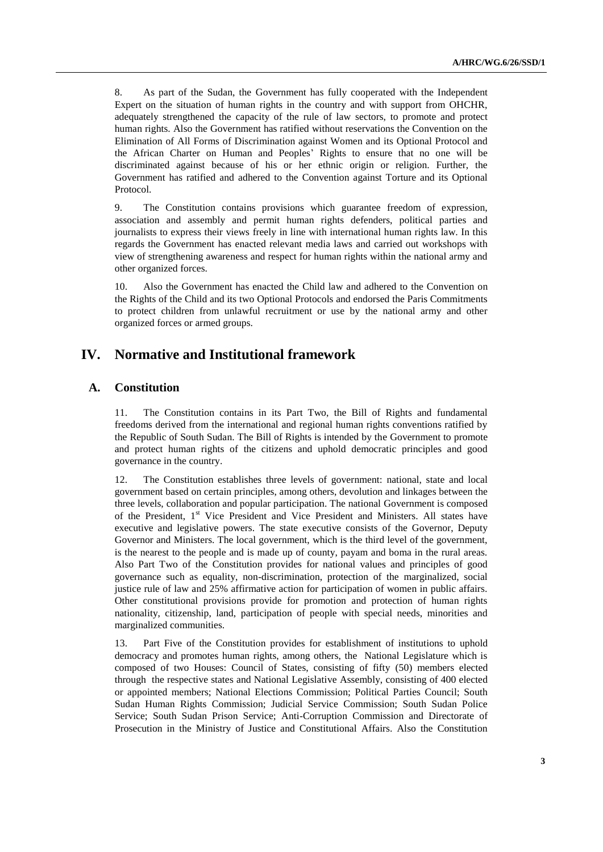8. As part of the Sudan, the Government has fully cooperated with the Independent Expert on the situation of human rights in the country and with support from OHCHR, adequately strengthened the capacity of the rule of law sectors, to promote and protect human rights. Also the Government has ratified without reservations the Convention on the Elimination of All Forms of Discrimination against Women and its Optional Protocol and the African Charter on Human and Peoples' Rights to ensure that no one will be discriminated against because of his or her ethnic origin or religion. Further, the Government has ratified and adhered to the Convention against Torture and its Optional Protocol.

9. The Constitution contains provisions which guarantee freedom of expression, association and assembly and permit human rights defenders, political parties and journalists to express their views freely in line with international human rights law. In this regards the Government has enacted relevant media laws and carried out workshops with view of strengthening awareness and respect for human rights within the national army and other organized forces.

10. Also the Government has enacted the Child law and adhered to the Convention on the Rights of the Child and its two Optional Protocols and endorsed the Paris Commitments to protect children from unlawful recruitment or use by the national army and other organized forces or armed groups.

# **IV. Normative and Institutional framework**

## **A. Constitution**

11. The Constitution contains in its Part Two, the Bill of Rights and fundamental freedoms derived from the international and regional human rights conventions ratified by the Republic of South Sudan. The Bill of Rights is intended by the Government to promote and protect human rights of the citizens and uphold democratic principles and good governance in the country.

12. The Constitution establishes three levels of government: national, state and local government based on certain principles, among others, devolution and linkages between the three levels, collaboration and popular participation. The national Government is composed of the President, 1<sup>st</sup> Vice President and Vice President and Ministers. All states have executive and legislative powers. The state executive consists of the Governor, Deputy Governor and Ministers. The local government, which is the third level of the government, is the nearest to the people and is made up of county, payam and boma in the rural areas. Also Part Two of the Constitution provides for national values and principles of good governance such as equality, non-discrimination, protection of the marginalized, social justice rule of law and 25% affirmative action for participation of women in public affairs. Other constitutional provisions provide for promotion and protection of human rights nationality, citizenship, land, participation of people with special needs, minorities and marginalized communities.

13. Part Five of the Constitution provides for establishment of institutions to uphold democracy and promotes human rights, among others, the National Legislature which is composed of two Houses: Council of States, consisting of fifty (50) members elected through the respective states and National Legislative Assembly, consisting of 400 elected or appointed members; National Elections Commission; Political Parties Council; South Sudan Human Rights Commission; Judicial Service Commission; South Sudan Police Service; South Sudan Prison Service; Anti-Corruption Commission and Directorate of Prosecution in the Ministry of Justice and Constitutional Affairs. Also the Constitution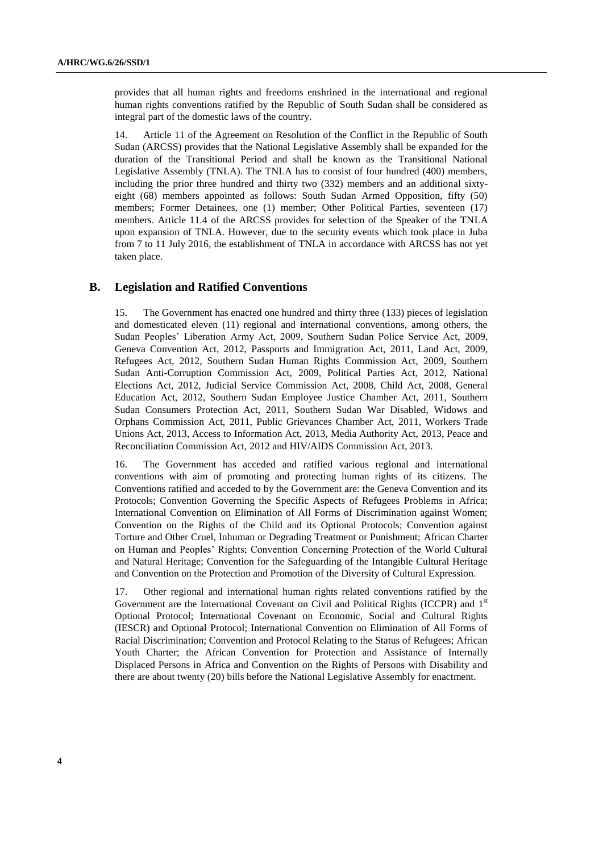provides that all human rights and freedoms enshrined in the international and regional human rights conventions ratified by the Republic of South Sudan shall be considered as integral part of the domestic laws of the country.

14. Article 11 of the Agreement on Resolution of the Conflict in the Republic of South Sudan (ARCSS) provides that the National Legislative Assembly shall be expanded for the duration of the Transitional Period and shall be known as the Transitional National Legislative Assembly (TNLA). The TNLA has to consist of four hundred (400) members, including the prior three hundred and thirty two (332) members and an additional sixtyeight (68) members appointed as follows: South Sudan Armed Opposition, fifty (50) members; Former Detainees, one (1) member; Other Political Parties, seventeen (17) members. Article 11.4 of the ARCSS provides for selection of the Speaker of the TNLA upon expansion of TNLA. However, due to the security events which took place in Juba from 7 to 11 July 2016, the establishment of TNLA in accordance with ARCSS has not yet taken place.

### **B. Legislation and Ratified Conventions**

15. The Government has enacted one hundred and thirty three (133) pieces of legislation and domesticated eleven (11) regional and international conventions, among others, the Sudan Peoples' Liberation Army Act, 2009, Southern Sudan Police Service Act, 2009, Geneva Convention Act, 2012, Passports and Immigration Act, 2011, Land Act, 2009, Refugees Act, 2012, Southern Sudan Human Rights Commission Act, 2009, Southern Sudan Anti-Corruption Commission Act, 2009, Political Parties Act, 2012, National Elections Act, 2012, Judicial Service Commission Act, 2008, Child Act, 2008, General Education Act, 2012, Southern Sudan Employee Justice Chamber Act, 2011, Southern Sudan Consumers Protection Act, 2011, Southern Sudan War Disabled, Widows and Orphans Commission Act, 2011, Public Grievances Chamber Act, 2011, Workers Trade Unions Act, 2013, Access to Information Act, 2013, Media Authority Act, 2013, Peace and Reconciliation Commission Act, 2012 and HIV/AIDS Commission Act, 2013.

16. The Government has acceded and ratified various regional and international conventions with aim of promoting and protecting human rights of its citizens. The Conventions ratified and acceded to by the Government are: the Geneva Convention and its Protocols; Convention Governing the Specific Aspects of Refugees Problems in Africa; International Convention on Elimination of All Forms of Discrimination against Women; Convention on the Rights of the Child and its Optional Protocols; Convention against Torture and Other Cruel, Inhuman or Degrading Treatment or Punishment; African Charter on Human and Peoples' Rights; Convention Concerning Protection of the World Cultural and Natural Heritage; Convention for the Safeguarding of the Intangible Cultural Heritage and Convention on the Protection and Promotion of the Diversity of Cultural Expression.

17. Other regional and international human rights related conventions ratified by the Government are the International Covenant on Civil and Political Rights (ICCPR) and 1<sup>st</sup> Optional Protocol; International Covenant on Economic, Social and Cultural Rights (IESCR) and Optional Protocol; International Convention on Elimination of All Forms of Racial Discrimination; Convention and Protocol Relating to the Status of Refugees; African Youth Charter; the African Convention for Protection and Assistance of Internally Displaced Persons in Africa and Convention on the Rights of Persons with Disability and there are about twenty (20) bills before the National Legislative Assembly for enactment.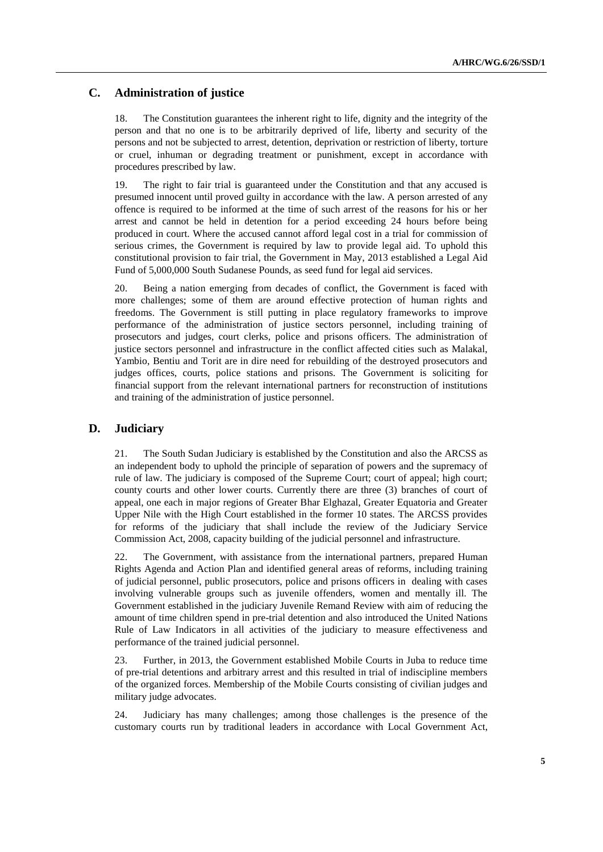## **C. Administration of justice**

18. The Constitution guarantees the inherent right to life, dignity and the integrity of the person and that no one is to be arbitrarily deprived of life, liberty and security of the persons and not be subjected to arrest, detention, deprivation or restriction of liberty, torture or cruel, inhuman or degrading treatment or punishment, except in accordance with procedures prescribed by law.

19. The right to fair trial is guaranteed under the Constitution and that any accused is presumed innocent until proved guilty in accordance with the law. A person arrested of any offence is required to be informed at the time of such arrest of the reasons for his or her arrest and cannot be held in detention for a period exceeding 24 hours before being produced in court. Where the accused cannot afford legal cost in a trial for commission of serious crimes, the Government is required by law to provide legal aid. To uphold this constitutional provision to fair trial, the Government in May, 2013 established a Legal Aid Fund of 5,000,000 South Sudanese Pounds, as seed fund for legal aid services.

20. Being a nation emerging from decades of conflict, the Government is faced with more challenges; some of them are around effective protection of human rights and freedoms. The Government is still putting in place regulatory frameworks to improve performance of the administration of justice sectors personnel, including training of prosecutors and judges, court clerks, police and prisons officers. The administration of justice sectors personnel and infrastructure in the conflict affected cities such as Malakal, Yambio, Bentiu and Torit are in dire need for rebuilding of the destroyed prosecutors and judges offices, courts, police stations and prisons. The Government is soliciting for financial support from the relevant international partners for reconstruction of institutions and training of the administration of justice personnel.

### **D. Judiciary**

21. The South Sudan Judiciary is established by the Constitution and also the ARCSS as an independent body to uphold the principle of separation of powers and the supremacy of rule of law. The judiciary is composed of the Supreme Court; court of appeal; high court; county courts and other lower courts. Currently there are three (3) branches of court of appeal, one each in major regions of Greater Bhar Elghazal, Greater Equatoria and Greater Upper Nile with the High Court established in the former 10 states. The ARCSS provides for reforms of the judiciary that shall include the review of the Judiciary Service Commission Act, 2008, capacity building of the judicial personnel and infrastructure.

22. The Government, with assistance from the international partners, prepared Human Rights Agenda and Action Plan and identified general areas of reforms, including training of judicial personnel, public prosecutors, police and prisons officers in dealing with cases involving vulnerable groups such as juvenile offenders, women and mentally ill. The Government established in the judiciary Juvenile Remand Review with aim of reducing the amount of time children spend in pre-trial detention and also introduced the United Nations Rule of Law Indicators in all activities of the judiciary to measure effectiveness and performance of the trained judicial personnel.

23. Further, in 2013, the Government established Mobile Courts in Juba to reduce time of pre-trial detentions and arbitrary arrest and this resulted in trial of indiscipline members of the organized forces. Membership of the Mobile Courts consisting of civilian judges and military judge advocates.

24. Judiciary has many challenges; among those challenges is the presence of the customary courts run by traditional leaders in accordance with Local Government Act,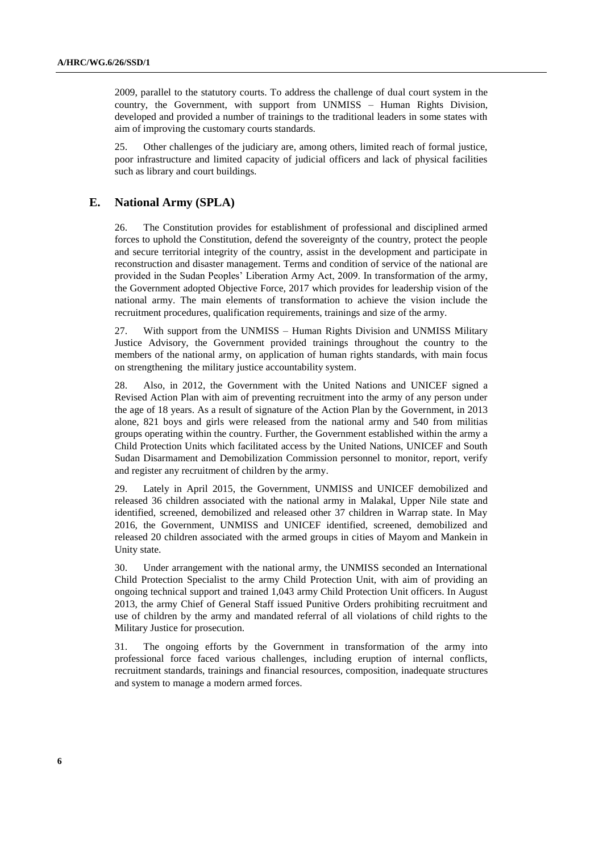2009, parallel to the statutory courts. To address the challenge of dual court system in the country, the Government, with support from UNMISS – Human Rights Division, developed and provided a number of trainings to the traditional leaders in some states with aim of improving the customary courts standards.

25. Other challenges of the judiciary are, among others, limited reach of formal justice, poor infrastructure and limited capacity of judicial officers and lack of physical facilities such as library and court buildings.

## **E. National Army (SPLA)**

26. The Constitution provides for establishment of professional and disciplined armed forces to uphold the Constitution, defend the sovereignty of the country, protect the people and secure territorial integrity of the country, assist in the development and participate in reconstruction and disaster management. Terms and condition of service of the national are provided in the Sudan Peoples' Liberation Army Act, 2009. In transformation of the army, the Government adopted Objective Force, 2017 which provides for leadership vision of the national army. The main elements of transformation to achieve the vision include the recruitment procedures, qualification requirements, trainings and size of the army.

27. With support from the UNMISS – Human Rights Division and UNMISS Military Justice Advisory, the Government provided trainings throughout the country to the members of the national army, on application of human rights standards, with main focus on strengthening the military justice accountability system.

28. Also, in 2012, the Government with the United Nations and UNICEF signed a Revised Action Plan with aim of preventing recruitment into the army of any person under the age of 18 years. As a result of signature of the Action Plan by the Government, in 2013 alone, 821 boys and girls were released from the national army and 540 from militias groups operating within the country. Further, the Government established within the army a Child Protection Units which facilitated access by the United Nations, UNICEF and South Sudan Disarmament and Demobilization Commission personnel to monitor, report, verify and register any recruitment of children by the army.

29. Lately in April 2015, the Government, UNMISS and UNICEF demobilized and released 36 children associated with the national army in Malakal, Upper Nile state and identified, screened, demobilized and released other 37 children in Warrap state. In May 2016, the Government, UNMISS and UNICEF identified, screened, demobilized and released 20 children associated with the armed groups in cities of Mayom and Mankein in Unity state.

30. Under arrangement with the national army, the UNMISS seconded an International Child Protection Specialist to the army Child Protection Unit, with aim of providing an ongoing technical support and trained 1,043 army Child Protection Unit officers. In August 2013, the army Chief of General Staff issued Punitive Orders prohibiting recruitment and use of children by the army and mandated referral of all violations of child rights to the Military Justice for prosecution.

31. The ongoing efforts by the Government in transformation of the army into professional force faced various challenges, including eruption of internal conflicts, recruitment standards, trainings and financial resources, composition, inadequate structures and system to manage a modern armed forces.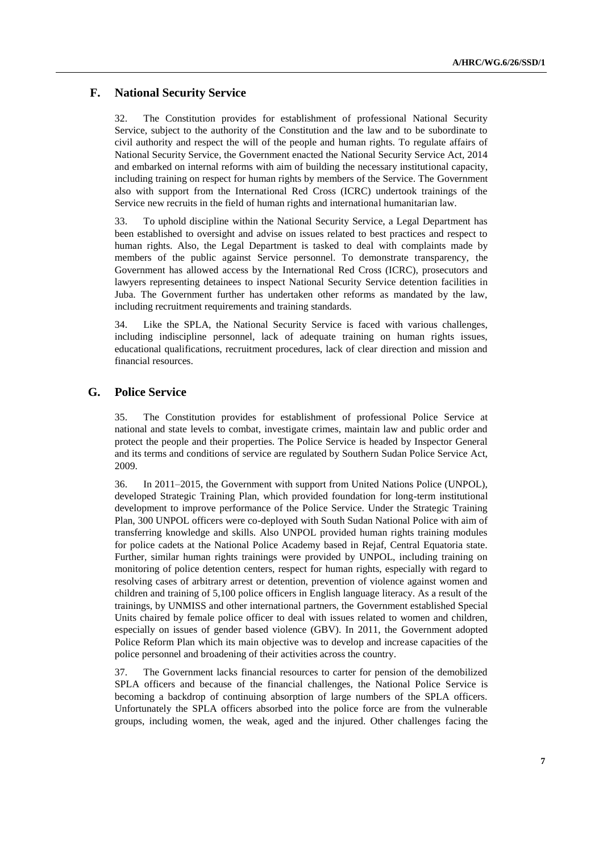### **F. National Security Service**

32. The Constitution provides for establishment of professional National Security Service, subject to the authority of the Constitution and the law and to be subordinate to civil authority and respect the will of the people and human rights. To regulate affairs of National Security Service, the Government enacted the National Security Service Act, 2014 and embarked on internal reforms with aim of building the necessary institutional capacity, including training on respect for human rights by members of the Service. The Government also with support from the International Red Cross (ICRC) undertook trainings of the Service new recruits in the field of human rights and international humanitarian law.

33. To uphold discipline within the National Security Service, a Legal Department has been established to oversight and advise on issues related to best practices and respect to human rights. Also, the Legal Department is tasked to deal with complaints made by members of the public against Service personnel. To demonstrate transparency, the Government has allowed access by the International Red Cross (ICRC), prosecutors and lawyers representing detainees to inspect National Security Service detention facilities in Juba. The Government further has undertaken other reforms as mandated by the law, including recruitment requirements and training standards.

34. Like the SPLA, the National Security Service is faced with various challenges, including indiscipline personnel, lack of adequate training on human rights issues, educational qualifications, recruitment procedures, lack of clear direction and mission and financial resources.

### **G. Police Service**

35. The Constitution provides for establishment of professional Police Service at national and state levels to combat, investigate crimes, maintain law and public order and protect the people and their properties. The Police Service is headed by Inspector General and its terms and conditions of service are regulated by Southern Sudan Police Service Act, 2009.

36. In 2011–2015, the Government with support from United Nations Police (UNPOL), developed Strategic Training Plan, which provided foundation for long-term institutional development to improve performance of the Police Service. Under the Strategic Training Plan, 300 UNPOL officers were co-deployed with South Sudan National Police with aim of transferring knowledge and skills. Also UNPOL provided human rights training modules for police cadets at the National Police Academy based in Rejaf, Central Equatoria state. Further, similar human rights trainings were provided by UNPOL, including training on monitoring of police detention centers, respect for human rights, especially with regard to resolving cases of arbitrary arrest or detention, prevention of violence against women and children and training of 5,100 police officers in English language literacy. As a result of the trainings, by UNMISS and other international partners, the Government established Special Units chaired by female police officer to deal with issues related to women and children, especially on issues of gender based violence (GBV). In 2011, the Government adopted Police Reform Plan which its main objective was to develop and increase capacities of the police personnel and broadening of their activities across the country.

37. The Government lacks financial resources to carter for pension of the demobilized SPLA officers and because of the financial challenges, the National Police Service is becoming a backdrop of continuing absorption of large numbers of the SPLA officers. Unfortunately the SPLA officers absorbed into the police force are from the vulnerable groups, including women, the weak, aged and the injured. Other challenges facing the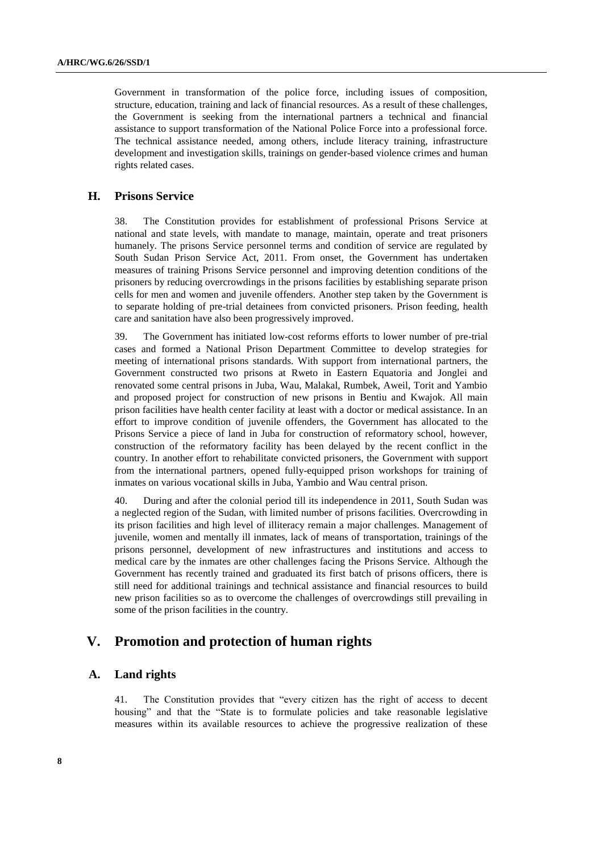Government in transformation of the police force, including issues of composition, structure, education, training and lack of financial resources. As a result of these challenges, the Government is seeking from the international partners a technical and financial assistance to support transformation of the National Police Force into a professional force. The technical assistance needed, among others, include literacy training, infrastructure development and investigation skills, trainings on gender-based violence crimes and human rights related cases.

## **H. Prisons Service**

38. The Constitution provides for establishment of professional Prisons Service at national and state levels, with mandate to manage, maintain, operate and treat prisoners humanely. The prisons Service personnel terms and condition of service are regulated by South Sudan Prison Service Act, 2011. From onset, the Government has undertaken measures of training Prisons Service personnel and improving detention conditions of the prisoners by reducing overcrowdings in the prisons facilities by establishing separate prison cells for men and women and juvenile offenders. Another step taken by the Government is to separate holding of pre-trial detainees from convicted prisoners. Prison feeding, health care and sanitation have also been progressively improved.

39. The Government has initiated low-cost reforms efforts to lower number of pre-trial cases and formed a National Prison Department Committee to develop strategies for meeting of international prisons standards. With support from international partners, the Government constructed two prisons at Rweto in Eastern Equatoria and Jonglei and renovated some central prisons in Juba, Wau, Malakal, Rumbek, Aweil, Torit and Yambio and proposed project for construction of new prisons in Bentiu and Kwajok. All main prison facilities have health center facility at least with a doctor or medical assistance. In an effort to improve condition of juvenile offenders, the Government has allocated to the Prisons Service a piece of land in Juba for construction of reformatory school, however, construction of the reformatory facility has been delayed by the recent conflict in the country. In another effort to rehabilitate convicted prisoners, the Government with support from the international partners, opened fully-equipped prison workshops for training of inmates on various vocational skills in Juba, Yambio and Wau central prison.

40. During and after the colonial period till its independence in 2011, South Sudan was a neglected region of the Sudan, with limited number of prisons facilities. Overcrowding in its prison facilities and high level of illiteracy remain a major challenges. Management of juvenile, women and mentally ill inmates, lack of means of transportation, trainings of the prisons personnel, development of new infrastructures and institutions and access to medical care by the inmates are other challenges facing the Prisons Service. Although the Government has recently trained and graduated its first batch of prisons officers, there is still need for additional trainings and technical assistance and financial resources to build new prison facilities so as to overcome the challenges of overcrowdings still prevailing in some of the prison facilities in the country.

## **V. Promotion and protection of human rights**

## **A. Land rights**

41. The Constitution provides that "every citizen has the right of access to decent housing" and that the "State is to formulate policies and take reasonable legislative measures within its available resources to achieve the progressive realization of these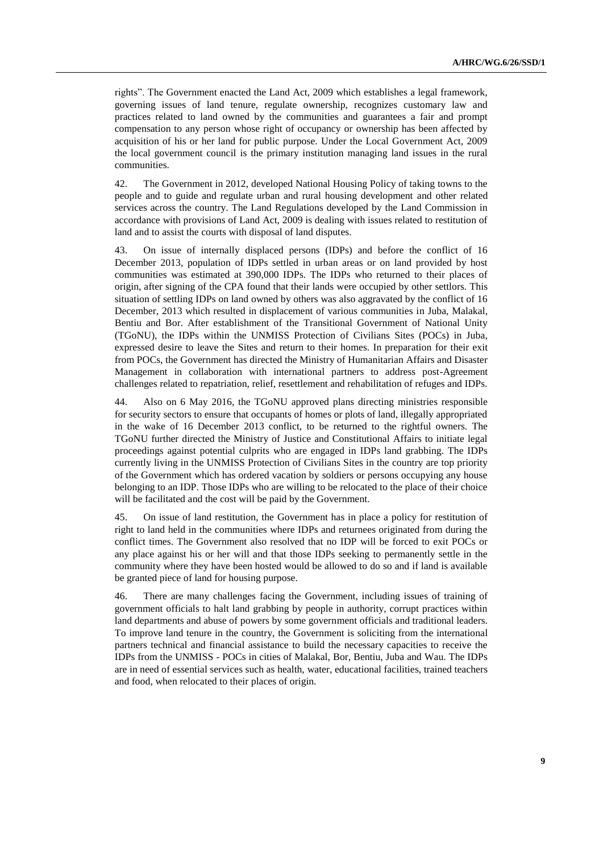rights". The Government enacted the Land Act, 2009 which establishes a legal framework, governing issues of land tenure, regulate ownership, recognizes customary law and practices related to land owned by the communities and guarantees a fair and prompt compensation to any person whose right of occupancy or ownership has been affected by acquisition of his or her land for public purpose. Under the Local Government Act, 2009 the local government council is the primary institution managing land issues in the rural communities.

42. The Government in 2012, developed National Housing Policy of taking towns to the people and to guide and regulate urban and rural housing development and other related services across the country. The Land Regulations developed by the Land Commission in accordance with provisions of Land Act, 2009 is dealing with issues related to restitution of land and to assist the courts with disposal of land disputes.

43. On issue of internally displaced persons (IDPs) and before the conflict of 16 December 2013, population of IDPs settled in urban areas or on land provided by host communities was estimated at 390,000 IDPs. The IDPs who returned to their places of origin, after signing of the CPA found that their lands were occupied by other settlors. This situation of settling IDPs on land owned by others was also aggravated by the conflict of 16 December, 2013 which resulted in displacement of various communities in Juba, Malakal, Bentiu and Bor. After establishment of the Transitional Government of National Unity (TGoNU), the IDPs within the UNMISS Protection of Civilians Sites (POCs) in Juba, expressed desire to leave the Sites and return to their homes. In preparation for their exit from POCs, the Government has directed the Ministry of Humanitarian Affairs and Disaster Management in collaboration with international partners to address post-Agreement challenges related to repatriation, relief, resettlement and rehabilitation of refuges and IDPs.

44. Also on 6 May 2016, the TGoNU approved plans directing ministries responsible for security sectors to ensure that occupants of homes or plots of land, illegally appropriated in the wake of 16 December 2013 conflict, to be returned to the rightful owners. The TGoNU further directed the Ministry of Justice and Constitutional Affairs to initiate legal proceedings against potential culprits who are engaged in IDPs land grabbing. The IDPs currently living in the UNMISS Protection of Civilians Sites in the country are top priority of the Government which has ordered vacation by soldiers or persons occupying any house belonging to an IDP. Those IDPs who are willing to be relocated to the place of their choice will be facilitated and the cost will be paid by the Government.

45. On issue of land restitution, the Government has in place a policy for restitution of right to land held in the communities where IDPs and returnees originated from during the conflict times. The Government also resolved that no IDP will be forced to exit POCs or any place against his or her will and that those IDPs seeking to permanently settle in the community where they have been hosted would be allowed to do so and if land is available be granted piece of land for housing purpose.

46. There are many challenges facing the Government, including issues of training of government officials to halt land grabbing by people in authority, corrupt practices within land departments and abuse of powers by some government officials and traditional leaders. To improve land tenure in the country, the Government is soliciting from the international partners technical and financial assistance to build the necessary capacities to receive the IDPs from the UNMISS - POCs in cities of Malakal, Bor, Bentiu, Juba and Wau. The IDPs are in need of essential services such as health, water, educational facilities, trained teachers and food, when relocated to their places of origin.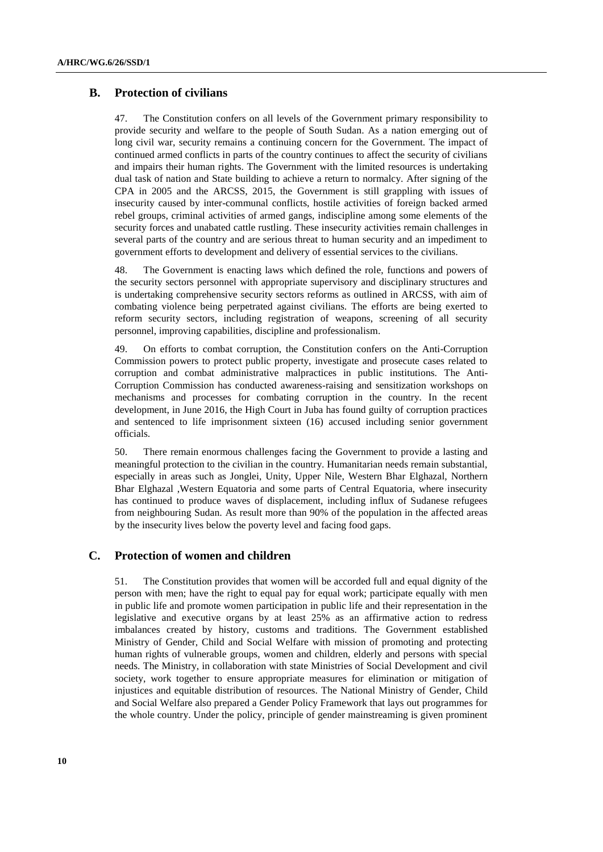## **B. Protection of civilians**

47. The Constitution confers on all levels of the Government primary responsibility to provide security and welfare to the people of South Sudan. As a nation emerging out of long civil war, security remains a continuing concern for the Government. The impact of continued armed conflicts in parts of the country continues to affect the security of civilians and impairs their human rights. The Government with the limited resources is undertaking dual task of nation and State building to achieve a return to normalcy. After signing of the CPA in 2005 and the ARCSS, 2015, the Government is still grappling with issues of insecurity caused by inter-communal conflicts, hostile activities of foreign backed armed rebel groups, criminal activities of armed gangs, indiscipline among some elements of the security forces and unabated cattle rustling. These insecurity activities remain challenges in several parts of the country and are serious threat to human security and an impediment to government efforts to development and delivery of essential services to the civilians.

48. The Government is enacting laws which defined the role, functions and powers of the security sectors personnel with appropriate supervisory and disciplinary structures and is undertaking comprehensive security sectors reforms as outlined in ARCSS, with aim of combating violence being perpetrated against civilians. The efforts are being exerted to reform security sectors, including registration of weapons, screening of all security personnel, improving capabilities, discipline and professionalism.

49. On efforts to combat corruption, the Constitution confers on the Anti-Corruption Commission powers to protect public property, investigate and prosecute cases related to corruption and combat administrative malpractices in public institutions. The Anti-Corruption Commission has conducted awareness-raising and sensitization workshops on mechanisms and processes for combating corruption in the country. In the recent development, in June 2016, the High Court in Juba has found guilty of corruption practices and sentenced to life imprisonment sixteen (16) accused including senior government officials.

50. There remain enormous challenges facing the Government to provide a lasting and meaningful protection to the civilian in the country. Humanitarian needs remain substantial, especially in areas such as Jonglei, Unity, Upper Nile, Western Bhar Elghazal, Northern Bhar Elghazal ,Western Equatoria and some parts of Central Equatoria, where insecurity has continued to produce waves of displacement, including influx of Sudanese refugees from neighbouring Sudan. As result more than 90% of the population in the affected areas by the insecurity lives below the poverty level and facing food gaps.

## **C. Protection of women and children**

51. The Constitution provides that women will be accorded full and equal dignity of the person with men; have the right to equal pay for equal work; participate equally with men in public life and promote women participation in public life and their representation in the legislative and executive organs by at least 25% as an affirmative action to redress imbalances created by history, customs and traditions. The Government established Ministry of Gender, Child and Social Welfare with mission of promoting and protecting human rights of vulnerable groups, women and children, elderly and persons with special needs. The Ministry, in collaboration with state Ministries of Social Development and civil society, work together to ensure appropriate measures for elimination or mitigation of injustices and equitable distribution of resources. The National Ministry of Gender, Child and Social Welfare also prepared a Gender Policy Framework that lays out programmes for the whole country. Under the policy, principle of gender mainstreaming is given prominent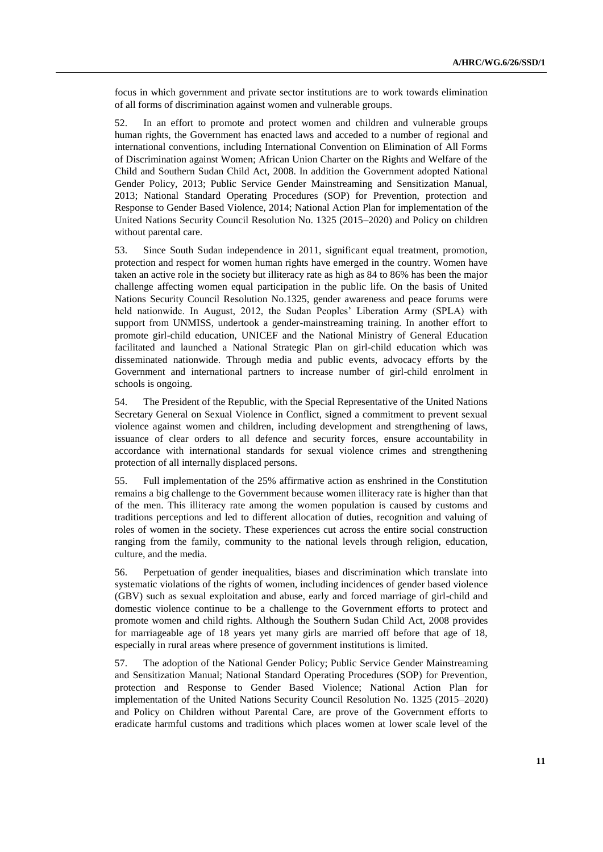focus in which government and private sector institutions are to work towards elimination of all forms of discrimination against women and vulnerable groups.

52. In an effort to promote and protect women and children and vulnerable groups human rights, the Government has enacted laws and acceded to a number of regional and international conventions, including International Convention on Elimination of All Forms of Discrimination against Women; African Union Charter on the Rights and Welfare of the Child and Southern Sudan Child Act, 2008. In addition the Government adopted National Gender Policy, 2013; Public Service Gender Mainstreaming and Sensitization Manual, 2013; National Standard Operating Procedures (SOP) for Prevention, protection and Response to Gender Based Violence, 2014; National Action Plan for implementation of the United Nations Security Council Resolution No. 1325 (2015–2020) and Policy on children without parental care.

53. Since South Sudan independence in 2011, significant equal treatment, promotion, protection and respect for women human rights have emerged in the country. Women have taken an active role in the society but illiteracy rate as high as 84 to 86% has been the major challenge affecting women equal participation in the public life. On the basis of United Nations Security Council Resolution No.1325, gender awareness and peace forums were held nationwide. In August, 2012, the Sudan Peoples' Liberation Army (SPLA) with support from UNMISS, undertook a gender-mainstreaming training. In another effort to promote girl-child education, UNICEF and the National Ministry of General Education facilitated and launched a National Strategic Plan on girl-child education which was disseminated nationwide. Through media and public events, advocacy efforts by the Government and international partners to increase number of girl-child enrolment in schools is ongoing.

54. The President of the Republic, with the Special Representative of the United Nations Secretary General on Sexual Violence in Conflict, signed a commitment to prevent sexual violence against women and children, including development and strengthening of laws, issuance of clear orders to all defence and security forces, ensure accountability in accordance with international standards for sexual violence crimes and strengthening protection of all internally displaced persons.

55. Full implementation of the 25% affirmative action as enshrined in the Constitution remains a big challenge to the Government because women illiteracy rate is higher than that of the men. This illiteracy rate among the women population is caused by customs and traditions perceptions and led to different allocation of duties, recognition and valuing of roles of women in the society. These experiences cut across the entire social construction ranging from the family, community to the national levels through religion, education, culture, and the media.

56. Perpetuation of gender inequalities, biases and discrimination which translate into systematic violations of the rights of women, including incidences of gender based violence (GBV) such as sexual exploitation and abuse, early and forced marriage of girl-child and domestic violence continue to be a challenge to the Government efforts to protect and promote women and child rights. Although the Southern Sudan Child Act, 2008 provides for marriageable age of 18 years yet many girls are married off before that age of 18, especially in rural areas where presence of government institutions is limited.

57. The adoption of the National Gender Policy; Public Service Gender Mainstreaming and Sensitization Manual; National Standard Operating Procedures (SOP) for Prevention, protection and Response to Gender Based Violence; National Action Plan for implementation of the United Nations Security Council Resolution No. 1325 (2015–2020) and Policy on Children without Parental Care, are prove of the Government efforts to eradicate harmful customs and traditions which places women at lower scale level of the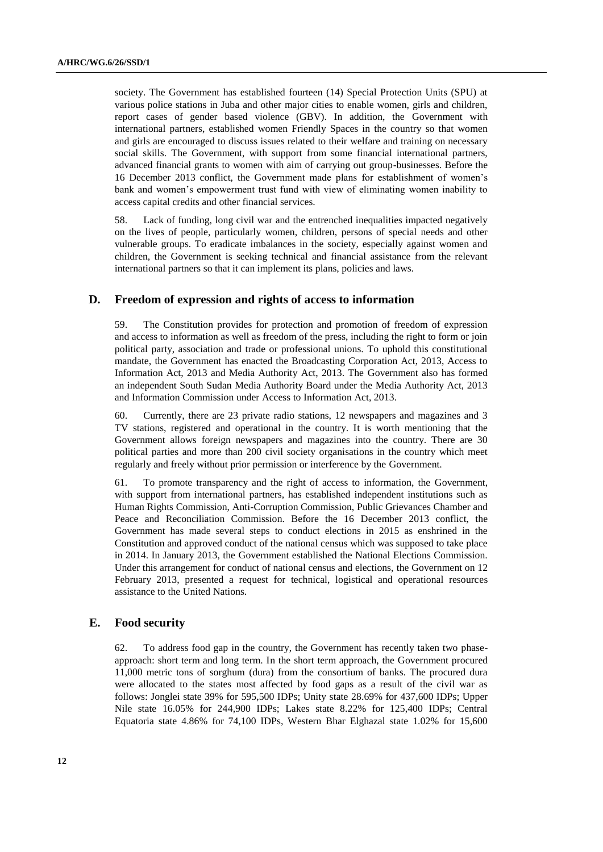society. The Government has established fourteen (14) Special Protection Units (SPU) at various police stations in Juba and other major cities to enable women, girls and children, report cases of gender based violence (GBV). In addition, the Government with international partners, established women Friendly Spaces in the country so that women and girls are encouraged to discuss issues related to their welfare and training on necessary social skills. The Government, with support from some financial international partners, advanced financial grants to women with aim of carrying out group-businesses. Before the 16 December 2013 conflict, the Government made plans for establishment of women's bank and women's empowerment trust fund with view of eliminating women inability to access capital credits and other financial services.

58. Lack of funding, long civil war and the entrenched inequalities impacted negatively on the lives of people, particularly women, children, persons of special needs and other vulnerable groups. To eradicate imbalances in the society, especially against women and children, the Government is seeking technical and financial assistance from the relevant international partners so that it can implement its plans, policies and laws.

## **D. Freedom of expression and rights of access to information**

59. The Constitution provides for protection and promotion of freedom of expression and access to information as well as freedom of the press, including the right to form or join political party, association and trade or professional unions. To uphold this constitutional mandate, the Government has enacted the Broadcasting Corporation Act, 2013, Access to Information Act, 2013 and Media Authority Act, 2013. The Government also has formed an independent South Sudan Media Authority Board under the Media Authority Act, 2013 and Information Commission under Access to Information Act, 2013.

60. Currently, there are 23 private radio stations, 12 newspapers and magazines and 3 TV stations, registered and operational in the country. It is worth mentioning that the Government allows foreign newspapers and magazines into the country. There are 30 political parties and more than 200 civil society organisations in the country which meet regularly and freely without prior permission or interference by the Government.

61. To promote transparency and the right of access to information, the Government, with support from international partners, has established independent institutions such as Human Rights Commission, Anti-Corruption Commission, Public Grievances Chamber and Peace and Reconciliation Commission. Before the 16 December 2013 conflict, the Government has made several steps to conduct elections in 2015 as enshrined in the Constitution and approved conduct of the national census which was supposed to take place in 2014. In January 2013, the Government established the National Elections Commission. Under this arrangement for conduct of national census and elections, the Government on 12 February 2013, presented a request for technical, logistical and operational resources assistance to the United Nations.

#### **E. Food security**

62. To address food gap in the country, the Government has recently taken two phaseapproach: short term and long term. In the short term approach, the Government procured 11,000 metric tons of sorghum (dura) from the consortium of banks. The procured dura were allocated to the states most affected by food gaps as a result of the civil war as follows: Jonglei state 39% for 595,500 IDPs; Unity state 28.69% for 437,600 IDPs; Upper Nile state 16.05% for 244,900 IDPs; Lakes state 8.22% for 125,400 IDPs; Central Equatoria state 4.86% for 74,100 IDPs, Western Bhar Elghazal state 1.02% for 15,600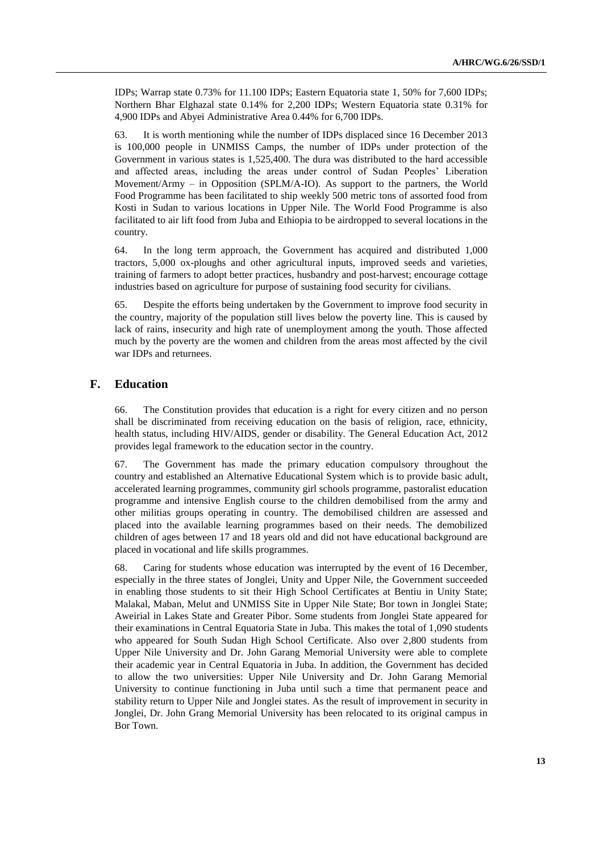IDPs; Warrap state 0.73% for 11.100 IDPs; Eastern Equatoria state 1, 50% for 7,600 IDPs; Northern Bhar Elghazal state 0.14% for 2,200 IDPs; Western Equatoria state 0.31% for 4,900 IDPs and Abyei Administrative Area 0.44% for 6,700 IDPs.

63. It is worth mentioning while the number of IDPs displaced since 16 December 2013 is 100,000 people in UNMISS Camps, the number of IDPs under protection of the Government in various states is 1,525,400. The dura was distributed to the hard accessible and affected areas, including the areas under control of Sudan Peoples' Liberation Movement/Army – in Opposition (SPLM/A-IO). As support to the partners, the World Food Programme has been facilitated to ship weekly 500 metric tons of assorted food from Kosti in Sudan to various locations in Upper Nile. The World Food Programme is also facilitated to air lift food from Juba and Ethiopia to be airdropped to several locations in the country.

64. In the long term approach, the Government has acquired and distributed 1,000 tractors, 5,000 ox-ploughs and other agricultural inputs, improved seeds and varieties, training of farmers to adopt better practices, husbandry and post-harvest; encourage cottage industries based on agriculture for purpose of sustaining food security for civilians.

65. Despite the efforts being undertaken by the Government to improve food security in the country, majority of the population still lives below the poverty line. This is caused by lack of rains, insecurity and high rate of unemployment among the youth. Those affected much by the poverty are the women and children from the areas most affected by the civil war IDPs and returnees.

### **F. Education**

66. The Constitution provides that education is a right for every citizen and no person shall be discriminated from receiving education on the basis of religion, race, ethnicity, health status, including HIV/AIDS, gender or disability. The General Education Act, 2012 provides legal framework to the education sector in the country.

67. The Government has made the primary education compulsory throughout the country and established an Alternative Educational System which is to provide basic adult, accelerated learning programmes, community girl schools programme, pastoralist education programme and intensive English course to the children demobilised from the army and other militias groups operating in country. The demobilised children are assessed and placed into the available learning programmes based on their needs. The demobilized children of ages between 17 and 18 years old and did not have educational background are placed in vocational and life skills programmes.

68. Caring for students whose education was interrupted by the event of 16 December, especially in the three states of Jonglei, Unity and Upper Nile, the Government succeeded in enabling those students to sit their High School Certificates at Bentiu in Unity State; Malakal, Maban, Melut and UNMISS Site in Upper Nile State; Bor town in Jonglei State; Aweirial in Lakes State and Greater Pibor. Some students from Jonglei State appeared for their examinations in Central Equatoria State in Juba. This makes the total of 1,090 students who appeared for South Sudan High School Certificate. Also over 2,800 students from Upper Nile University and Dr. John Garang Memorial University were able to complete their academic year in Central Equatoria in Juba. In addition, the Government has decided to allow the two universities: Upper Nile University and Dr. John Garang Memorial University to continue functioning in Juba until such a time that permanent peace and stability return to Upper Nile and Jonglei states. As the result of improvement in security in Jonglei, Dr. John Grang Memorial University has been relocated to its original campus in Bor Town.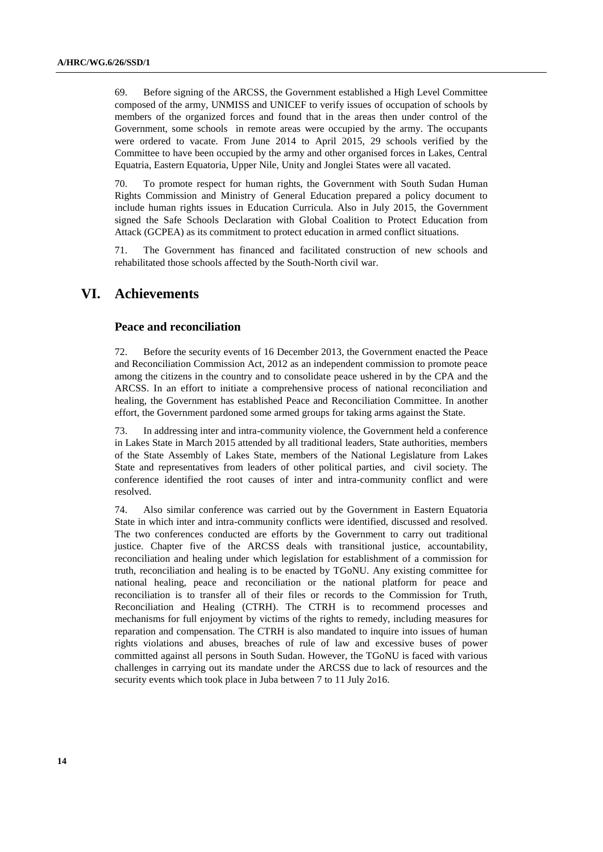69. Before signing of the ARCSS, the Government established a High Level Committee composed of the army, UNMISS and UNICEF to verify issues of occupation of schools by members of the organized forces and found that in the areas then under control of the Government, some schools in remote areas were occupied by the army. The occupants were ordered to vacate. From June 2014 to April 2015, 29 schools verified by the Committee to have been occupied by the army and other organised forces in Lakes, Central Equatria, Eastern Equatoria, Upper Nile, Unity and Jonglei States were all vacated.

70. To promote respect for human rights, the Government with South Sudan Human Rights Commission and Ministry of General Education prepared a policy document to include human rights issues in Education Curricula. Also in July 2015, the Government signed the Safe Schools Declaration with Global Coalition to Protect Education from Attack (GCPEA) as its commitment to protect education in armed conflict situations.

71. The Government has financed and facilitated construction of new schools and rehabilitated those schools affected by the South-North civil war.

# **VI. Achievements**

#### **Peace and reconciliation**

72. Before the security events of 16 December 2013, the Government enacted the Peace and Reconciliation Commission Act, 2012 as an independent commission to promote peace among the citizens in the country and to consolidate peace ushered in by the CPA and the ARCSS. In an effort to initiate a comprehensive process of national reconciliation and healing, the Government has established Peace and Reconciliation Committee. In another effort, the Government pardoned some armed groups for taking arms against the State.

73. In addressing inter and intra-community violence, the Government held a conference in Lakes State in March 2015 attended by all traditional leaders, State authorities, members of the State Assembly of Lakes State, members of the National Legislature from Lakes State and representatives from leaders of other political parties, and civil society. The conference identified the root causes of inter and intra-community conflict and were resolved.

74. Also similar conference was carried out by the Government in Eastern Equatoria State in which inter and intra-community conflicts were identified, discussed and resolved. The two conferences conducted are efforts by the Government to carry out traditional justice. Chapter five of the ARCSS deals with transitional justice, accountability, reconciliation and healing under which legislation for establishment of a commission for truth, reconciliation and healing is to be enacted by TGoNU. Any existing committee for national healing, peace and reconciliation or the national platform for peace and reconciliation is to transfer all of their files or records to the Commission for Truth, Reconciliation and Healing (CTRH). The CTRH is to recommend processes and mechanisms for full enjoyment by victims of the rights to remedy, including measures for reparation and compensation. The CTRH is also mandated to inquire into issues of human rights violations and abuses, breaches of rule of law and excessive buses of power committed against all persons in South Sudan. However, the TGoNU is faced with various challenges in carrying out its mandate under the ARCSS due to lack of resources and the security events which took place in Juba between 7 to 11 July 2o16.